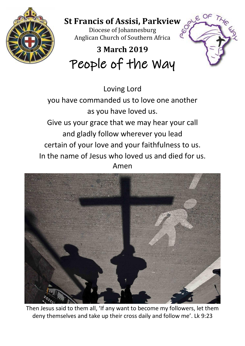

## **St Francis of Assisi, Parkview**

 $E$  OF

Diocese of Johannesburg Anglican Church of Southern Africa

# **3 March 2019** People of the Way

Loving Lord you have commanded us to love one another as you have loved us. Give us your grace that we may hear your call and gladly follow wherever you lead certain of your love and your faithfulness to us. In the name of Jesus who loved us and died for us. Amen



Then Jesus said to them all, 'If any want to become my followers, let them deny themselves and take up their cross daily and follow me'. Lk 9:23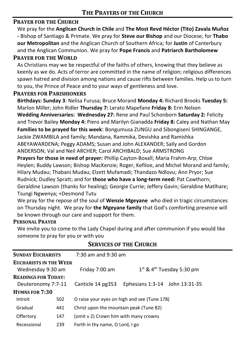#### **PRAYER FOR THE CHURCH**

We pray for the **Anglican Church in Chile** and **The Most Revd Héctor (Tito) Zavala Muñoz -** Bishop of Santiago & Primate. We pray for **Steve our Bishop** and our Diocese; for **Thabo our Metropolitan** and the Anglican Church of Southern Africa; for **Justin** of Canterbury and the Anglican Communion. We pray for **Pope Francis** and **Patriarch Bartholomew**

#### **PRAYER FOR THE WORLD**

As Christians may we be respectful of the faiths of others, knowing that they believe as keenly as we do. Acts of terror are committed in the name of religion; religious differences spawn hatred and division among nations and cause rifts between families. Help us to turn to you, the Prince of Peace and to your ways of gentleness and love.

#### **PRAYERS FOR PARISHIONERS**

**Birthdays: Sunday 3**: Nelisa Furusa; Bruce Morand **Monday 4:** Richard Brooks **Tuesday 5:** Marlon Miller; John Ridler **Thursday 7:** Lerato Mapefane **Friday 8:** Erin Nelson **Wedding Anniversaries: Wednesday 27:** Rene and Paul Schonborn **Saturday 2:** Felicity and Trevor Bailey **Monday 4:** Piero and Marilyn Gianadda **Friday 8:** Caley and Nathan May **Families to be prayed for this week**: Bongumusa ZUNGU and Sibongiseni SHINGANGE, Jackie ZWAMBILA and family; Mandana, Rammika, Devishka and Ramishka ABEYAWARDENA; Peggy ADAMS; Susan and John ALEXANDER; Sally and Gordon ANDERSON; Val and Neil ARCHER; Carol ARCHIBALD; Sue ARMSTRONG **Prayers for those in need of prayer:** Phillip Cayton-Boxall; Maria Frahm-Arp; Chloe

Heylen; Buddy Lawson; Bishop MacKenzie; Roger, Kefiloe, and Michel Morand and family; Hilary Mudau; Thabani Mudau; Elzett Mufamadi; Thandazo Ndlovu; Ann Pryor; Sue Rudnick; Dudley Spratt; and for **those who have a long-term need:** Pat Cawthorn; Geraldine Lawson (thanks for healing); Georgie Currie; Jeffery Gavin; Geraldine Matlhare; Tsungi Ngwenya; +Desmond Tutu

We pray for the repose of the soul of **Wenzie Mgeyane** who died in tragic circumstances on Thursday night. We pray for **the Mgeyane family** that God's comforting presence will be known through our care and support for them.

#### **PERSONAL PRAYER**

We invite you to come to the Lady Chapel during and after communion if you would like someone to pray for you or with you

| <b>SUNDAY EUCHARISTS</b>                           | $7:30$ am and $9:30$ am                                   |  |  |  |  |
|----------------------------------------------------|-----------------------------------------------------------|--|--|--|--|
| <b>EUCHARISTS IN THE WEEK</b><br>Wednesday 9:30 am | $1st$ & 4 <sup>th</sup> Tuesday 5:30 pm<br>Friday 7:00 am |  |  |  |  |
| <b>READINGS FOR TODAY:</b>                         |                                                           |  |  |  |  |
| Deuteronomy 7:7-11                                 | Ephesians 1:3-14 John 13:31-35<br>Canticle 14 pg353       |  |  |  |  |
| <b>HYMNS FOR 7:30</b>                              |                                                           |  |  |  |  |
| Introit<br>502                                     | O raise your eyes on high and see (Tune 178)              |  |  |  |  |
| Gradual<br>441                                     | Christ upon the mountain peak (Tune 82)                   |  |  |  |  |
| Offertory<br>147                                   | (omit v 2) Crown him with many crowns                     |  |  |  |  |
| 239<br>Recessional                                 | Forth in thy name, O Lord, I go                           |  |  |  |  |

#### **SERVICES OF THE CHURCH**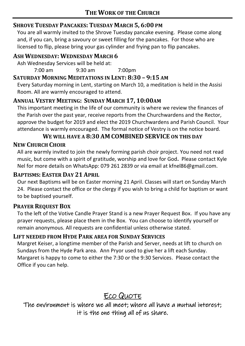#### **SHROVE TUESDAY PANCAKES: TUESDAY MARCH 5, 6:00 PM**

You are all warmly invited to the Shrove Tuesday pancake evening. Please come along and, if you can, bring a savoury or sweet filling for the pancakes. For those who are licensed to flip, please bring your gas cylinder and frying pan to flip pancakes.

#### **ASH WEDNESDAY: WEDNESDAY MARCH 6**

Ash Wednesday Services will be held at:

7:00 am 9:30 am 7:00pm

#### **SATURDAY MORNING MEDITATIONS IN LENT: 8:30 – 9:15 AM**

Every Saturday morning in Lent, starting on March 10, a meditation is held in the Assisi Room. All are warmly encouraged to attend.

#### **ANNUAL VESTRY MEETING: SUNDAY MARCH 17, 10:00AM**

This important meeting in the life of our community is where we review the finances of the Parish over the past year, receive reports from the Churchwardens and the Rector, approve the budget for 2019 and elect the 2019 Churchwardens and Parish Council. Your attendance is warmly encouraged. The formal notice of Vestry is on the notice board.

#### **WE WILL HAVE A 8:30 AM COMBINED SERVICE ON THIS DAY**

#### **NEW CHURCH CHOIR**

All are warmly invited to join the newly forming parish choir project. You need not read music, but come with a spirit of gratitude, worship and love for God**.** Please contact Kyle Nel for more details on WhatsApp: 079 261 2839 or via email at kfnel86@gmail.com.

#### **BAPTISMS: EASTER DAY 21 APRIL**

Our next Baptisms will be on Easter morning 21 April. Classes will start on Sunday March 24. Please contact the office or the clergy if you wish to bring a child for baptism or want to be baptised yourself.

#### **PRAYER REQUEST BOX**

To the left of the Votive Candle Prayer Stand is a new Prayer Request Box. If you have any prayer requests, please place them in the Box. You can choose to identify yourself or remain anonymous. All requests are confidential unless otherwise stated.

#### **LIFT NEEDED FROM HYDE PARK AREA FOR SUNDAY SERVICES**

Margret Keiser, a longtime member of the Parish and Server, needs at lift to church on Sundays from the Hyde Park area. Ann Pryor used to give her a lift each Sunday. Margaret is happy to come to either the 7:30 or the 9:30 Services. Please contact the Office if you can help.

### ECO QUOTE

The environment is where we all meet; where all have a mutual interest; it is the one thing all of us share.